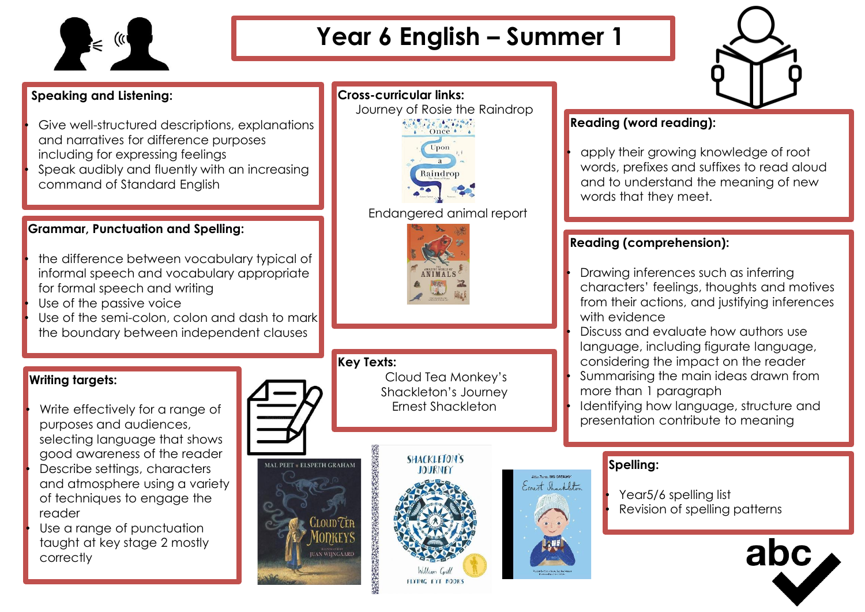

# **Year 6 English – Summer 1**

Journey of Rosie the Raindrop

Once

Raindrop

Endangered animal report

**Cross-curricular links:**

## **Speaking and Listening:**

- Give well-structured descriptions, explanations and narratives for difference purposes including for expressing feelings
- Speak audibly and fluently with an increasing command of Standard English

### **Grammar, Punctuation and Spelling:**

- the difference between vocabulary typical of informal speech and vocabulary appropriate for formal speech and writing
- Use of the passive voice
- Use of the semi-colon, colon and dash to mark the boundary between independent clauses

### **Writing targets:**

Write effectively for a range of purposes and audiences, selecting language that shows good awareness of the reader Describe settings, characters and atmosphere using a variety of techniques to engage the reader

Use a range of punctuation taught at key stage 2 mostly correctly

**Key Texts:** Cloud Tea Monkey's Shackleton's Journey Ernest Shackleton **ACCEPTANCE AND ACCEPTANCE AND ACCEPTANCE** MAL PEET \* ELSPETH GRAHAM

**RAISTRATED BY**<br>AN WIINGAARD



### **Reading (word reading):**

• apply their growing knowledge of root words, prefixes and suffixes to read aloud and to understand the meaning of new words that they meet.

### **Reading (comprehension):**

• Drawing inferences such as inferring characters' feelings, thoughts and motives from their actions, and justifying inferences with evidence

• Discuss and evaluate how authors use language, including figurate language, considering the impact on the reader • Summarising the main ideas drawn from more than 1 paragraph

Identifying how language, structure and presentation contribute to meaning

## **Spelling:**

Expect Shockleton

Year5/6 spelling list Revision of spelling patterns